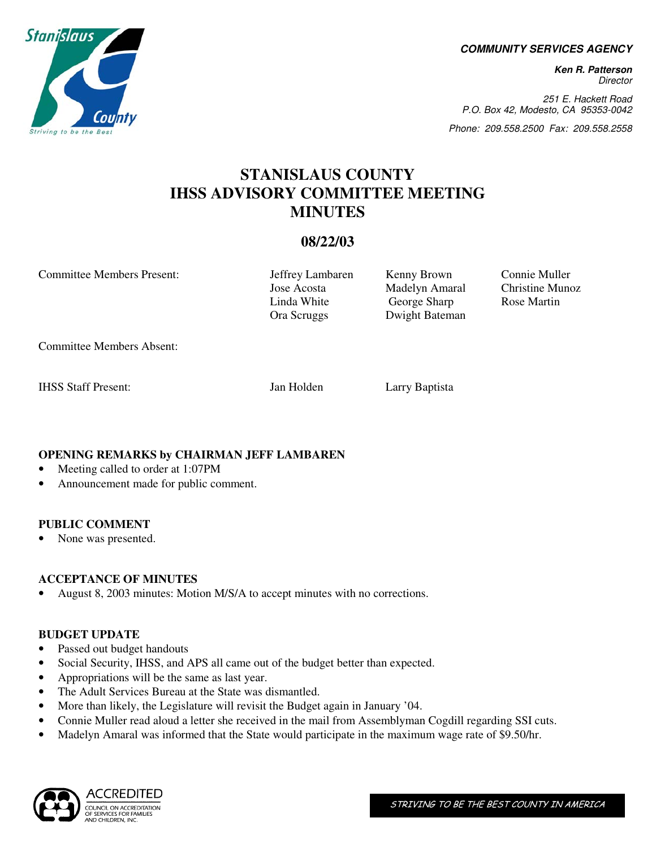**COMMUNITY SERVICES AGENCY** 

**Ken R. Patterson**  Director

251 E. Hackett Road P.O. Box 42, Modesto, CA 95353-0042

Phone: 209.558.2500 Fax: 209.558.2558

# **STANISLAUS COUNTY IHSS ADVISORY COMMITTEE MEETING MINUTES**

# **08/22/03**

Committee Members Present: Jeffrey Lambaren Kenny Brown Connie Muller

 Jose Acosta Madelyn Amaral Christine Munoz Linda White George Sharp Rose Martin Ora Scruggs Dwight Bateman

Committee Members Absent:

IHSS Staff Present: Jan Holden Larry Baptista

# **OPENING REMARKS by CHAIRMAN JEFF LAMBAREN**

- Meeting called to order at 1:07PM
- Announcement made for public comment.

## **PUBLIC COMMENT**

• None was presented.

## **ACCEPTANCE OF MINUTES**

• August 8, 2003 minutes: Motion M/S/A to accept minutes with no corrections.

#### **BUDGET UPDATE**

- Passed out budget handouts
- Social Security, IHSS, and APS all came out of the budget better than expected.
- Appropriations will be the same as last year.
- The Adult Services Bureau at the State was dismantled.
- More than likely, the Legislature will revisit the Budget again in January '04.
- Connie Muller read aloud a letter she received in the mail from Assemblyman Cogdill regarding SSI cuts.
- Madelyn Amaral was informed that the State would participate in the maximum wage rate of \$9.50/hr.



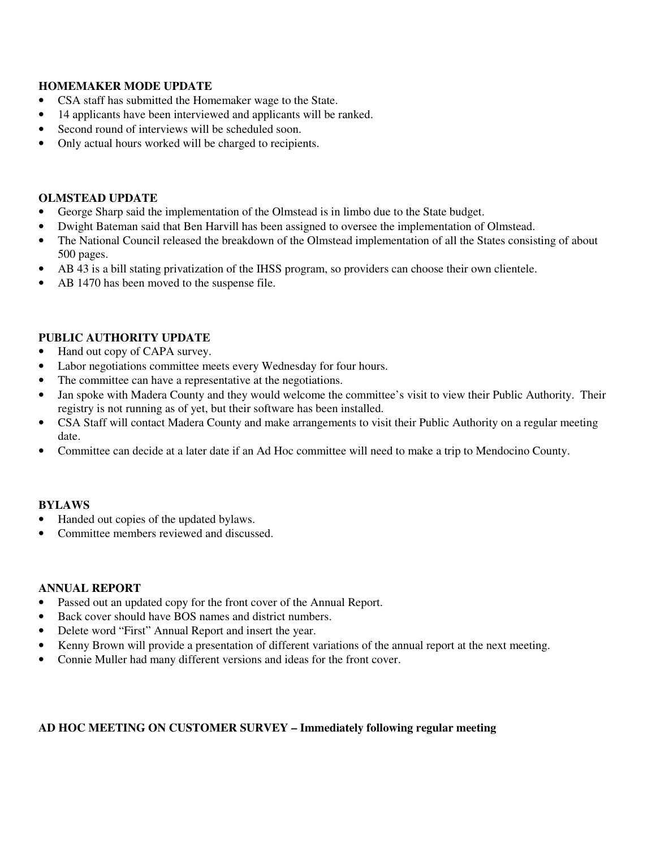# **HOMEMAKER MODE UPDATE**

- CSA staff has submitted the Homemaker wage to the State.
- 14 applicants have been interviewed and applicants will be ranked.
- Second round of interviews will be scheduled soon.
- Only actual hours worked will be charged to recipients.

#### **OLMSTEAD UPDATE**

- George Sharp said the implementation of the Olmstead is in limbo due to the State budget.
- Dwight Bateman said that Ben Harvill has been assigned to oversee the implementation of Olmstead.
- The National Council released the breakdown of the Olmstead implementation of all the States consisting of about 500 pages.
- AB 43 is a bill stating privatization of the IHSS program, so providers can choose their own clientele.
- AB 1470 has been moved to the suspense file.

### **PUBLIC AUTHORITY UPDATE**

- Hand out copy of CAPA survey.
- Labor negotiations committee meets every Wednesday for four hours.
- The committee can have a representative at the negotiations.
- Jan spoke with Madera County and they would welcome the committee's visit to view their Public Authority. Their registry is not running as of yet, but their software has been installed.
- CSA Staff will contact Madera County and make arrangements to visit their Public Authority on a regular meeting date.
- Committee can decide at a later date if an Ad Hoc committee will need to make a trip to Mendocino County.

#### **BYLAWS**

- Handed out copies of the updated bylaws.
- Committee members reviewed and discussed.

#### **ANNUAL REPORT**

- Passed out an updated copy for the front cover of the Annual Report.
- Back cover should have BOS names and district numbers.
- Delete word "First" Annual Report and insert the year.
- Kenny Brown will provide a presentation of different variations of the annual report at the next meeting.
- Connie Muller had many different versions and ideas for the front cover.

## **AD HOC MEETING ON CUSTOMER SURVEY – Immediately following regular meeting**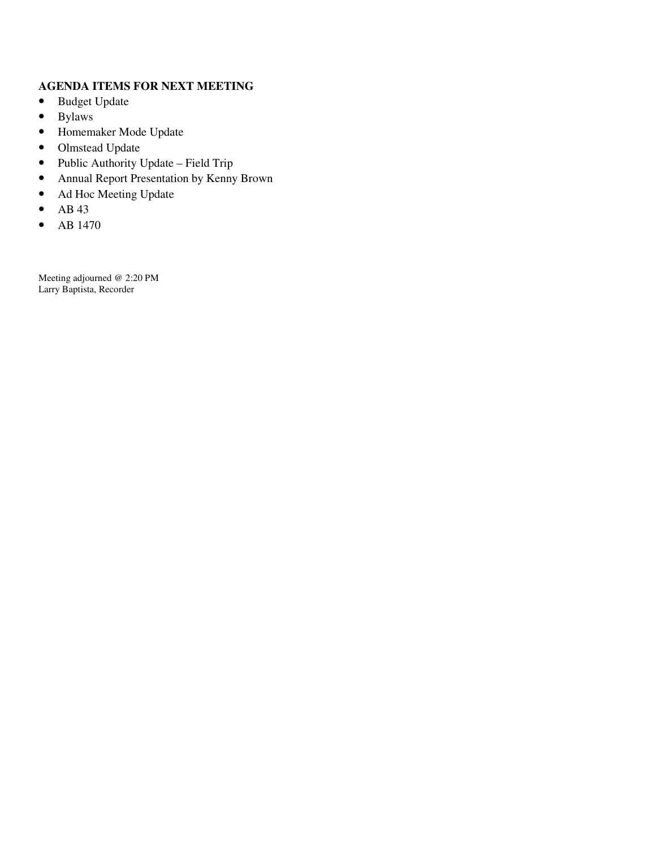# **AGENDA ITEMS FOR NEXT MEETING**

- Budget Update
- Bylaws
- Homemaker Mode Update
- Olmstead Update
- Public Authority Update Field Trip
- Annual Report Presentation by Kenny Brown
- Ad Hoc Meeting Update
- $\bullet$  AB 43
- AB 1470

Meeting adjourned @ 2:20 PM Larry Baptista, Recorder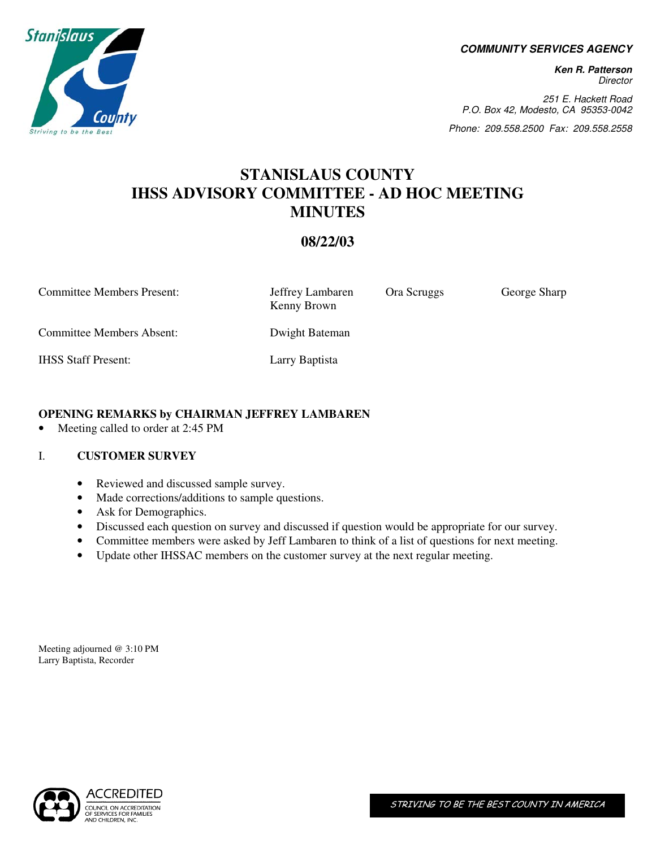**COMMUNITY SERVICES AGENCY** 

**Ken R. Patterson Director** 

251 E. Hackett Road P.O. Box 42, Modesto, CA 95353-0042

Phone: 209.558.2500 Fax: 209.558.2558

# **STANISLAUS COUNTY IHSS ADVISORY COMMITTEE - AD HOC MEETING MINUTES**

# **08/22/03**

Committee Members Present: Jeffrey Lambaren Ora Scruggs George Sharp Kenny Brown Committee Members Absent: Dwight Bateman IHSS Staff Present: Larry Baptista

## **OPENING REMARKS by CHAIRMAN JEFFREY LAMBAREN**

• Meeting called to order at 2:45 PM

#### I. **CUSTOMER SURVEY**

- Reviewed and discussed sample survey.
- Made corrections/additions to sample questions.
- Ask for Demographics.
- Discussed each question on survey and discussed if question would be appropriate for our survey.
- Committee members were asked by Jeff Lambaren to think of a list of questions for next meeting.
- Update other IHSSAC members on the customer survey at the next regular meeting.

Meeting adjourned @ 3:10 PM Larry Baptista, Recorder



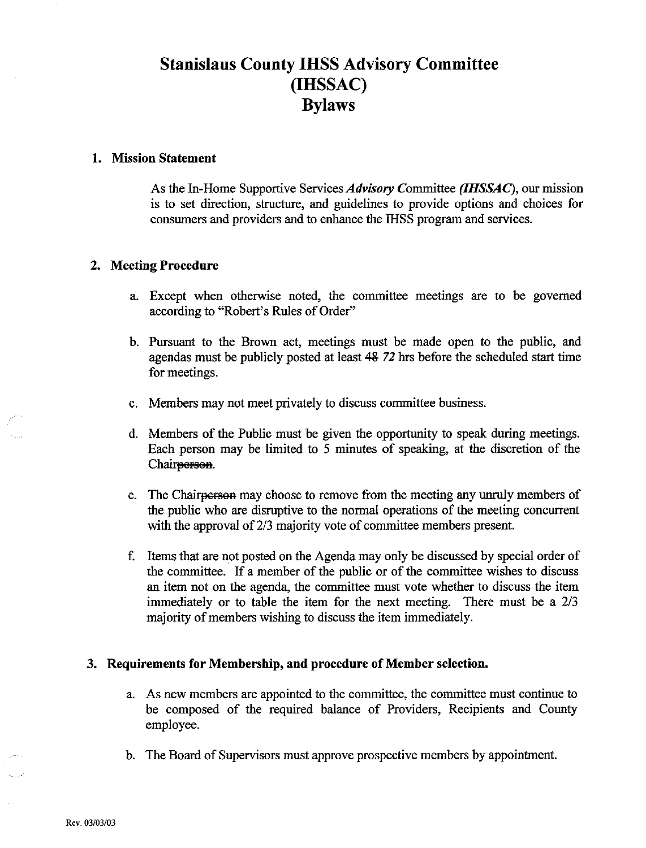# **Stanislaus County IHSS Advisory Committee** (IHSSAC) **Bylaws**

### 1. Mission Statement

As the In-Home Supportive Services Advisory Committee (IHSSAC), our mission is to set direction, structure, and guidelines to provide options and choices for consumers and providers and to enhance the IHSS program and services.

#### 2. Meeting Procedure

- a. Except when otherwise noted, the committee meetings are to be governed according to "Robert's Rules of Order"
- b. Pursuant to the Brown act, meetings must be made open to the public, and agendas must be publicly posted at least 48 72 hrs before the scheduled start time for meetings.
- c. Members may not meet privately to discuss committee business.
- d. Members of the Public must be given the opportunity to speak during meetings. Each person may be limited to 5 minutes of speaking, at the discretion of the Chair<del>person</del>.
- e. The Chair<del>person</del> may choose to remove from the meeting any unruly members of the public who are disruptive to the normal operations of the meeting concurrent with the approval of 2/3 majority vote of committee members present.
- f. Items that are not posted on the Agenda may only be discussed by special order of the committee. If a member of the public or of the committee wishes to discuss an item not on the agenda, the committee must vote whether to discuss the item immediately or to table the item for the next meeting. There must be a 2/3 majority of members wishing to discuss the item immediately.

#### 3. Requirements for Membership, and procedure of Member selection.

- a. As new members are appointed to the committee, the committee must continue to be composed of the required balance of Providers, Recipients and County employee.
- b. The Board of Supervisors must approve prospective members by appointment.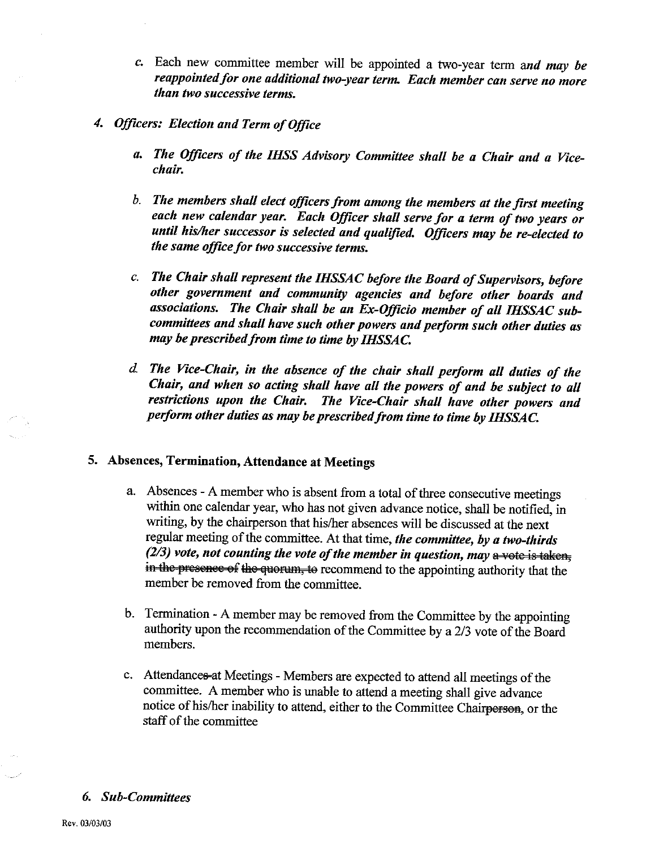- c. Each new committee member will be appointed a two-year term and may be reappointed for one additional two-year term. Each member can serve no more than two successive terms.
- 4. Officers: Election and Term of Office
	- a. The Officers of the IHSS Advisory Committee shall be a Chair and a Vicechair.
	- b. The members shall elect officers from among the members at the first meeting each new calendar year. Each Officer shall serve for a term of two years or until his/her successor is selected and qualified. Officers may be re-elected to the same office for two successive terms.
	- c. The Chair shall represent the IHSSAC before the Board of Supervisors, before other government and community agencies and before other boards and associations. The Chair shall be an Ex-Officio member of all IHSSAC subcommittees and shall have such other powers and perform such other duties as may be prescribed from time to time by IHSSAC.
	- d. The Vice-Chair, in the absence of the chair shall perform all duties of the Chair, and when so acting shall have all the powers of and be subject to all restrictions upon the Chair. The Vice-Chair shall have other powers and perform other duties as may be prescribed from time to time by IHSSAC.

### 5. Absences, Termination, Attendance at Meetings

- a. Absences A member who is absent from a total of three consecutive meetings within one calendar year, who has not given advance notice, shall be notified, in writing, by the chairperson that his/her absences will be discussed at the next regular meeting of the committee. At that time, the committee, by a two-thirds (2/3) vote, not counting the vote of the member in question, may  $\frac{a}{b}$  vote is taken. in the presence of the quorum, to recommend to the appointing authority that the member be removed from the committee.
- b. Termination A member may be removed from the Committee by the appointing authority upon the recommendation of the Committee by a 2/3 vote of the Board members.
- c. Attendances at Meetings Members are expected to attend all meetings of the committee. A member who is unable to attend a meeting shall give advance notice of his/her inability to attend, either to the Committee Chairperson, or the staff of the committee

#### **6.** Sub-Committees